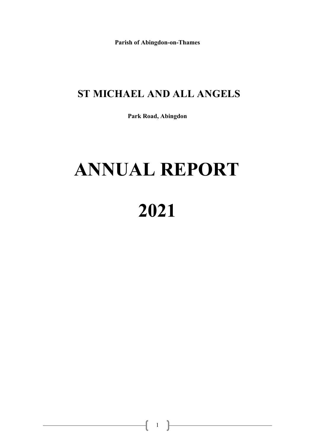**Parish of Abingdon-on-Thames** 

### **ST MICHAEL AND ALL ANGELS**

**Park Road, Abingdon** 

# **ANNUAL REPORT**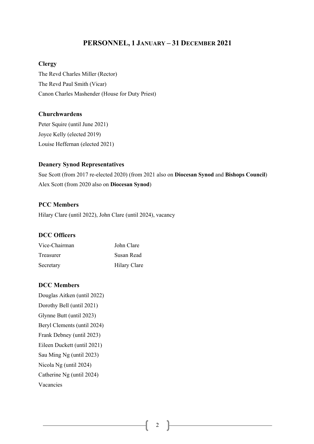#### **PERSONNEL, 1 JANUARY – 31 DECEMBER 2021**

#### **Clergy**

The Revd Charles Miller (Rector) The Revd Paul Smith (Vicar) Canon Charles Mashender (House for Duty Priest)

#### **Churchwardens**

Peter Squire (until June 2021) Joyce Kelly (elected 2019) Louise Heffernan (elected 2021)

#### **Deanery Synod Representatives**

Sue Scott (from 2017 re-elected 2020) (from 2021 also on **Diocesan Synod** and **Bishops Council**) Alex Scott (from 2020 also on **Diocesan Synod**)

#### **PCC Members**

Hilary Clare (until 2022), John Clare (until 2024), vacancy

#### **DCC Officers**

| Vice-Chairman | John Clare   |
|---------------|--------------|
| Treasurer     | Susan Read   |
| Secretary     | Hilary Clare |

#### **DCC Members**

Douglas Aitken (until 2022) Dorothy Bell (until 2021) Glynne Butt (until 2023) Beryl Clements (until 2024) Frank Debney (until 2023) Eileen Duckett (until 2021) Sau Ming Ng (until 2023) Nicola Ng (until 2024) Catherine Ng (until 2024) Vacancies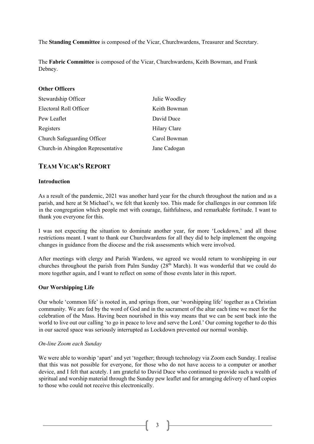The **Standing Committee** is composed of the Vicar, Churchwardens, Treasurer and Secretary.

The **Fabric Committee** is composed of the Vicar, Churchwardens, Keith Bowman, and Frank Debney.

#### **Other Officers**

| Stewardship Officer               | Julie Woodley |
|-----------------------------------|---------------|
| Electoral Roll Officer            | Keith Bowman  |
| Pew Leaflet                       | David Duce    |
| Registers                         | Hilary Clare  |
| Church Safeguarding Officer       | Carol Bowman  |
| Church-in Abingdon Representative | Jane Cadogan  |

#### **TEAM VICAR'S REPORT**

#### **Introduction**

As a result of the pandemic, 2021 was another hard year for the church throughout the nation and as a parish, and here at St Michael's, we felt that keenly too. This made for challenges in our common life in the congregation which people met with courage, faithfulness, and remarkable fortitude. I want to thank you everyone for this.

I was not expecting the situation to dominate another year, for more 'Lockdown,' and all those restrictions meant. I want to thank our Churchwardens for all they did to help implement the ongoing changes in guidance from the diocese and the risk assessments which were involved.

After meetings with clergy and Parish Wardens, we agreed we would return to worshipping in our churches throughout the parish from Palm Sunday  $(28<sup>th</sup> March)$ . It was wonderful that we could do more together again, and I want to reflect on some of those events later in this report.

#### **Our Worshipping Life**

Our whole 'common life' is rooted in, and springs from, our 'worshipping life' together as a Christian community. We are fed by the word of God and in the sacrament of the altar each time we meet for the celebration of the Mass. Having been nourished in this way means that we can be sent back into the world to live out our calling 'to go in peace to love and serve the Lord.' Our coming together to do this in our sacred space was seriously interrupted as Lockdown prevented our normal worship.

#### *On-line Zoom each Sunday*

We were able to worship 'apart' and yet 'together; through technology via Zoom each Sunday. I realise that this was not possible for everyone, for those who do not have access to a computer or another device, and I felt that acutely. I am grateful to David Duce who continued to provide such a wealth of spiritual and worship material through the Sunday pew leaflet and for arranging delivery of hard copies to those who could not receive this electronically.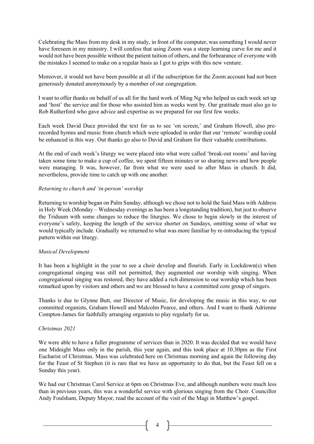Celebrating the Mass from my desk in my study, in front of the computer, was something I would never have foreseen in my ministry. I will confess that using Zoom was a steep learning curve for me and it would not have been possible without the patient tuition of others, and the forbearance of everyone with the mistakes I seemed to make on a regular basis as I got to grips with this new venture.

Moreover, it would not have been possible at all if the subscription for the Zoom account had not been generously donated anonymously by a member of our congregation.

I want to offer thanks on behalf of us all for the hard work of Ming Ng who helped us each week set up and 'host' the service and for those who assisted him as weeks went by. Our gratitude must also go to Rob Rutherford who gave advice and expertise as we prepared for our first few weeks.

Each week David Duce provided the text for us to see 'on screen,' and Graham Howell, also prerecorded hymns and music from church which were uploaded in order that our 'remote' worship could be enhanced in this way. Out thanks go also to David and Graham for their valuable contributions.

At the end of each week's liturgy we were placed into what were called 'break-out rooms' and having taken some time to make a cup of coffee, we spent fifteen minutes or so sharing news and how people were managing. It was, however, far from what we were used to after Mass in church. It did, nevertheless, provide time to catch up with one another.

#### *Returning to church and 'in-person' worship*

Returning to worship began on Palm Sunday, although we chose not to hold the Said Mass with Address in Holy Week (Monday – Wednesday evenings as has been a longstanding tradition), but just to observe the Triduum with some changes to reduce the liturgies. We chose to begin slowly in the interest of everyone's safety, keeping the length of the service shorter on Sundays, omitting some of what we would typically include. Gradually we returned to what was more familiar by re-introducing the typical pattern within our liturgy.

#### *Musical Development*

It has been a highlight in the year to see a choir develop and flourish. Early in Lockdown(s) when congregational singing was still not permitted, they augmented our worship with singing. When congregational singing was restored, they have added a rich dimension to our worship which has been remarked upon by visitors and others and we are blessed to have a committed core group of singers.

Thanks is due to Glynne Butt, our Director of Music, for developing the music in this way, to our committed organists, Graham Howell and Malcolm Pearce, and others. And I want to thank Adrienne Compton-James for faithfully arranging organists to play regularly for us.

#### *Christmas 2021*

We were able to have a fuller programme of services than in 2020. It was decided that we would have one Midnight Mass only in the parish, this year again, and this took place at 10.30pm as the First Eucharist of Christmas. Mass was celebrated here on Christmas morning and again the following day for the Feast of St Stephen (it is rare that we have an opportunity to do that, but the Feast fell on a Sunday this year).

We had our Christmas Carol Service at 6pm on Christmas Eve, and although numbers were much less than in previous years, this was a wonderful service with glorious singing from the Choir. Councillor Andy Foulsham, Deputy Mayor, read the account of the visit of the Magi in Matthew's gospel.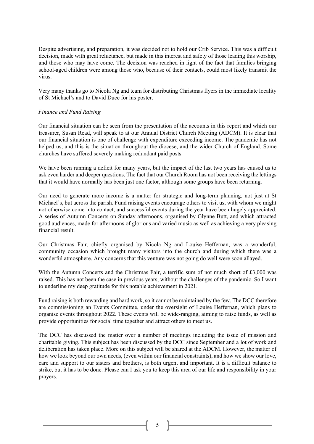Despite advertising, and preparation, it was decided not to hold our Crib Service. This was a difficult decision, made with great reluctance, but made in this interest and safety of those leading this worship, and those who may have come. The decision was reached in light of the fact that families bringing school-aged children were among those who, because of their contacts, could most likely transmit the virus.

Very many thanks go to Nicola Ng and team for distributing Christmas flyers in the immediate locality of St Michael's and to David Duce for his poster.

#### *Finance and Fund Raising*

Our financial situation can be seen from the presentation of the accounts in this report and which our treasurer, Susan Read, will speak to at our Annual District Church Meeting (ADCM). It is clear that our financial situation is one of challenge with expenditure exceeding income. The pandemic has not helped us, and this is the situation throughout the diocese, and the wider Church of England. Some churches have suffered severely making redundant paid posts.

We have been running a deficit for many years, but the impact of the last two years has caused us to ask even harder and deeper questions. The fact that our Church Room has not been receiving the lettings that it would have normally has been just one factor, although some groups have been returning.

Our need to generate more income is a matter for strategic and long-term planning, not just at St Michael's, but across the parish. Fund raising events encourage others to visit us, with whom we might not otherwise come into contact, and successful events during the year have been hugely appreciated. A series of Autumn Concerts on Sunday afternoons, organised by Glynne Butt, and which attracted good audiences, made for afternoons of glorious and varied music as well as achieving a very pleasing financial result.

Our Christmas Fair, chiefly organised by Nicola Ng and Louise Heffernan, was a wonderful, community occasion which brought many visitors into the church and during which there was a wonderful atmosphere. Any concerns that this venture was not going do well were soon allayed.

With the Autumn Concerts and the Christmas Fair, a terrific sum of not much short of £3,000 was raised. This has not been the case in previous years, without the challenges of the pandemic. So I want to underline my deep gratitude for this notable achievement in 2021.

Fund raising is both rewarding and hard work, so it cannot be maintained by the few. The DCC therefore are commissioning an Events Committee, under the oversight of Louise Heffernan, which plans to organise events throughout 2022. These events will be wide-ranging, aiming to raise funds, as well as provide opportunities for social time together and attract others to meet us.

The DCC has discussed the matter over a number of meetings including the issue of mission and charitable giving. This subject has been discussed by the DCC since September and a lot of work and deliberation has taken place. More on this subject will be shared at the ADCM. However, the matter of how we look beyond our own needs, (even within our financial constraints), and how we show our love, care and support to our sisters and brothers, is both urgent and important. It is a difficult balance to strike, but it has to be done. Please can I ask you to keep this area of our life and responsibility in your prayers.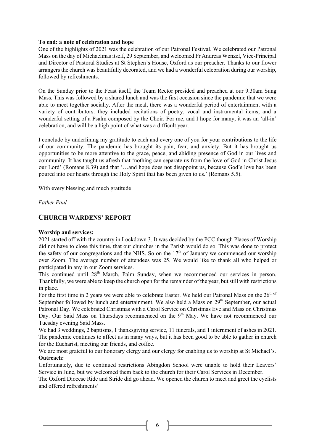#### **To end: a note of celebration and hope**

One of the highlights of 2021 was the celebration of our Patronal Festival. We celebrated our Patronal Mass on the day of Michaelmas itself, 29 September, and welcomed Fr Andreas Wenzel, Vice-Principal and Director of Pastoral Studies at St Stephen's House, Oxford as our preacher. Thanks to our flower arrangers the church was beautifully decorated, and we had a wonderful celebration during our worship, followed by refreshments.

On the Sunday prior to the Feast itself, the Team Rector presided and preached at our 9.30am Sung Mass. This was followed by a shared lunch and was the first occasion since the pandemic that we were able to meet together socially. After the meal, there was a wonderful period of entertainment with a variety of contributors: they included recitations of poetry, vocal and instrumental items, and a wonderful setting of a Psalm composed by the Choir. For me, and I hope for many, it was an 'all-in' celebration, and will be a high point of what was a difficult year.

I conclude by underlining my gratitude to each and every one of you for your contributions to the life of our community. The pandemic has brought its pain, fear, and anxiety. But it has brought us opportunities to be more attentive to the grace, peace, and abiding presence of God in our lives and community. It has taught us afresh that 'nothing can separate us from the love of God in Christ Jesus our Lord' (Romans 8.39) and that '…and hope does not disappoint us, because God's love has been poured into our hearts through the Holy Spirit that has been given to us.' (Romans 5.5).

With every blessing and much gratitude

*Father Paul* 

#### **CHURCH WARDENS' REPORT**

#### **Worship and services:**

2021 started off with the country in Lockdown 3. It was decided by the PCC though Places of Worship did not have to close this time, that our churches in the Parish would do so. This was done to protect the safety of our congregations and the NHS. So on the  $17<sup>th</sup>$  of January we commenced our worship over Zoom. The average number of attendees was 25. We would like to thank all who helped or participated in any in our Zoom services.

This continued until 28<sup>th</sup> March, Palm Sunday, when we recommenced our services in person. Thankfully, we were able to keep the church open for the remainder of the year, but still with restrictions in place.

For the first time in 2 years we were able to celebrate Easter. We held our Patronal Mass on the 26<sup>th of</sup> September followed by lunch and entertainment. We also held a Mass on 29<sup>th</sup> September, our actual Patronal Day. We celebrated Christmas with a Carol Service on Christmas Eve and Mass on Christmas Day. Our Said Mass on Thursdays recommenced on the 9<sup>th</sup> May. We have not recommenced our Tuesday evening Said Mass.

We had 3 weddings, 2 baptisms, 1 thanksgiving service, 11 funerals, and 1 internment of ashes in 2021. The pandemic continues to affect us in many ways, but it has been good to be able to gather in church for the Eucharist, meeting our friends, and coffee.

We are most grateful to our honorary clergy and our clergy for enabling us to worship at St Michael's. **Outreach:**

Unfortunately, due to continued restrictions Abingdon School were unable to hold their Leavers' Service in June, but we welcomed them back to the church for their Carol Services in December.

The Oxford Diocese Ride and Stride did go ahead. We opened the church to meet and greet the cyclists and offered refreshments'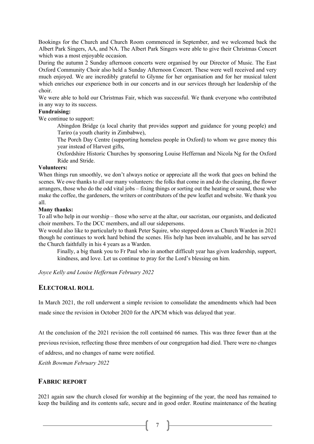Bookings for the Church and Church Room commenced in September, and we welcomed back the Albert Park Singers, AA, and NA. The Albert Park Singers were able to give their Christmas Concert which was a most enjoyable occasion.

During the autumn 2 Sunday afternoon concerts were organised by our Director of Music. The East Oxford Community Choir also held a Sunday Afternoon Concert. These were well received and very much enjoyed. We are incredibly grateful to Glynne for her organisation and for her musical talent which enriches our experience both in our concerts and in our services through her leadership of the choir.

We were able to hold our Christmas Fair, which was successful. We thank everyone who contributed in any way to its success.

#### **Fundraising:**

We continue to support:

Abingdon Bridge (a local charity that provides support and guidance for young people) and Tariro (a youth charity in Zimbabwe),

The Porch Day Centre (supporting homeless people in Oxford) to whom we gave money this year instead of Harvest gifts,

Oxfordshire Historic Churches by sponsoring Louise Heffernan and Nicola Ng for the Oxford Ride and Stride.

#### **Volunteers:**

When things run smoothly, we don't always notice or appreciate all the work that goes on behind the scenes. We owe thanks to all our many volunteers: the folks that come in and do the cleaning, the flower arrangers, those who do the odd vital jobs – fixing things or sorting out the heating or sound, those who make the coffee, the gardeners, the writers or contributors of the pew leaflet and website. We thank you all.

#### **Many thanks:**

To all who help in our worship – those who serve at the altar, our sacristan, our organists, and dedicated choir members. To the DCC members, and all our sidepersons.

We would also like to particularly to thank Peter Squire, who stepped down as Church Warden in 2021 though he continues to work hard behind the scenes. His help has been invaluable, and he has served the Church faithfully in his 4 years as a Warden.

Finally, a big thank you to Fr Paul who in another difficult year has given leadership, support, kindness, and love. Let us continue to pray for the Lord's blessing on him.

*Joyce Kelly and Louise Heffernan February 2022*

#### **ELECTORAL ROLL**

In March 2021, the roll underwent a simple revision to consolidate the amendments which had been made since the revision in October 2020 for the APCM which was delayed that year.

At the conclusion of the 2021 revision the roll contained 66 names. This was three fewer than at the previous revision, reflecting those three members of our congregation had died. There were no changes of address, and no changes of name were notified.

*Keith Bowman February 2022*

#### **FABRIC REPORT**

2021 again saw the church closed for worship at the beginning of the year, the need has remained to keep the building and its contents safe, secure and in good order. Routine maintenance of the heating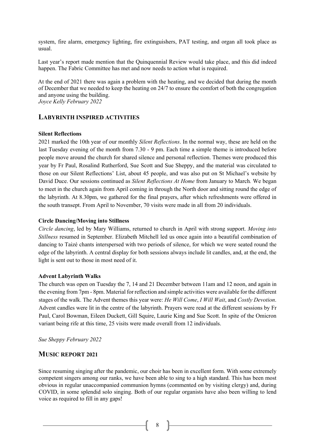system, fire alarm, emergency lighting, fire extinguishers, PAT testing, and organ all took place as usual.

Last year's report made mention that the Quinquennial Review would take place, and this did indeed happen. The Fabric Committee has met and now needs to action what is required.

At the end of 2021 there was again a problem with the heating, and we decided that during the month of December that we needed to keep the heating on 24/7 to ensure the comfort of both the congregation and anyone using the building. *Joyce Kelly February 2022*

#### **LABYRINTH INSPIRED ACTIVITIES**

#### **Silent Reflections**

2021 marked the 10th year of our monthly *Silent Reflections*. In the normal way, these are held on the last Tuesday evening of the month from 7.30 - 9 pm. Each time a simple theme is introduced before people move around the church for shared silence and personal reflection. Themes were produced this year by Fr Paul, Rosalind Rutherford, Sue Scott and Sue Sheppy, and the material was circulated to those on our Silent Reflections' List, about 45 people, and was also put on St Michael's website by David Duce. Our sessions continued as *Silent Reflections At Home* from January to March*.* We began to meet in the church again from April coming in through the North door and sitting round the edge of the labyrinth. At 8.30pm, we gathered for the final prayers, after which refreshments were offered in the south transept. From April to November, 70 visits were made in all from 20 individuals.

#### **Circle Dancing/Moving into Stillness**

*Circle dancing*, led by Mary Williams, returned to church in April with strong support. *Moving into Stillness* resumed in September. Elizabeth Mitchell led us once again into a beautiful combination of dancing to Taizé chants interspersed with two periods of silence, for which we were seated round the edge of the labyrinth. A central display for both sessions always include lit candles, and, at the end, the light is sent out to those in most need of it.

#### **Advent Labyrinth Walks**

The church was open on Tuesday the 7, 14 and 21 December between 11am and 12 noon, and again in the evening from 7pm - 8pm. Material for reflection and simple activities were available for the different stages of the walk. The Advent themes this year were: *He Will Come*, *I Will Wait*, and *Costly Devotion*. Advent candles were lit in the centre of the labyrinth. Prayers were read at the different sessions by Fr Paul, Carol Bowman, Eileen Duckett, Gill Squire, Laurie King and Sue Scott. In spite of the Omicron variant being rife at this time, 25 visits were made overall from 12 individuals.

*Sue Sheppy February 2022*

#### **MUSIC REPORT 2021**

Since resuming singing after the pandemic, our choir has been in excellent form. With some extremely competent singers among our ranks, we have been able to sing to a high standard. This has been most obvious in regular unaccompanied communion hymns (commented on by visiting clergy) and, during COVID, in some splendid solo singing. Both of our regular organists have also been willing to lend voice as required to fill in any gaps!